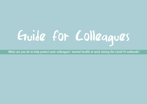# Guide for Colleagues

What can you do to help protect your colleagues' mental health at work during the Covid-19 outbreak?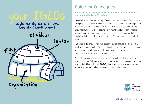staying mentally healthy at work during the Covid-19 outbreak



organisation

## Guide for Colleagues

What can you do to help your colleagues stay mentally healthy at work during the Covid-19 outbreak?

The Covid-19 outbreak has had a profound impact on the world of work. We are facing unprecedented challenges and many people are struggling to cope with the demands from work and home. People may be worried and concerned about health, finances or job security, they may be isolated from others and unable to perform their usual routines. These concerns are normal. In fact did you know that even before the outbreak 1 in 6 people experience mental ill health?

This guide is designed to help you support your colleagues to stay mentally healthy at work during the Covid-19 outbreak. It draws from the latest evidence to outline what works, and what does not, when it comes to working productively when experiencing stress.

We can't do everything on our own. To stay mentally healthy we often need help from others. Colleagues, friends and family, line managers and others can help the individual build their **IGLOo**. Remember, an employee with strong resources is much more likely to stay in and be productive at work.

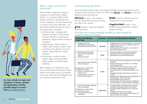

For more details on signs and symptoms of stress, anxiety and depression, and the possible impact on work – visit Every Mind Matters

#### What is stress, anxiety and depression?

Mental health is complicated. Everyone's experience of mental health is slightly different. It is sometimes difficult to tell whether someone is experiencing stress, anxiety or depression. A really important sign is a change in the person's behaviour – are they behaving differently? Here are some of the common signs and signals:

- Behavioural signs struggling with workload, low levels of concentration and focus, difficulty in organising, low productivity, negative attitude, changes in motivation.
- Emotional signs feeling anxious or irritable, mood changes, changes in how you interact with colleagues, too much emotion, feeling isolated or socially withdrawn.
- **•** Physical signs tiredness, having sleepless nights, increased drinking and/or smoking, not feeling hungry, headaches.

When employees are supported at work. they are better able to manage their mental health. Use this guide to give you examples of ways you could make your colleagues feel safe, valued and productive at work.

### Understanding your IGLOo

We all need other people to help us stay happy and healthy. Everyone has their own set of resources inside and outside of work. We call this your **IGLOo**. Your **IGLOo** is made up of different resources that help you:

individual resources - like confidence, self-care looking after your basic needs (e.g. eat, sleep, move, connect)

**group** resources - help from colleagues, friends and family

lealer resources - help from your line manager, GPs or service provider

**Organisational resources - help** provided by your organisation, volunteer groups or charities

#### The IGLOo for staying mentally healthy at work during the Covid-19 outbreak includes:

| At home, the following<br>actions help                                                                                                                                                                                                                                 | <b>Resources</b> | At work, the following help employees                                                                                                                                                                                                                                                                                                                                                                                                                                                                                                                                                                                                                          |
|------------------------------------------------------------------------------------------------------------------------------------------------------------------------------------------------------------------------------------------------------------------------|------------------|----------------------------------------------------------------------------------------------------------------------------------------------------------------------------------------------------------------------------------------------------------------------------------------------------------------------------------------------------------------------------------------------------------------------------------------------------------------------------------------------------------------------------------------------------------------------------------------------------------------------------------------------------------------|
| Prioritising self-care<br>$\bullet$<br>Establishing clear boundaries<br>$\bullet$<br>between work and leisure time                                                                                                                                                     | Individual       | Creating structure in the working day - set out your<br>working hours, break times, divide up tasks into<br>smaller components<br>Identifying your work priorities - what must be<br>done today, what can wait                                                                                                                                                                                                                                                                                                                                                                                                                                                 |
| Understanding from others<br>$\bullet$<br>Receiving non-judgmental<br>$\bullet$<br>support<br>Staying connected                                                                                                                                                        | Group            | Providing feedback on tasks from colleagues<br>$\bullet$<br>Giving help when doing challenging tasks<br>Maintaining social and informal contact                                                                                                                                                                                                                                                                                                                                                                                                                                                                                                                |
| Accessing health and wellbeing<br>$\bullet$<br>advice and support<br>If employees are experiencing<br>mental health concerns:<br>Having a consistent point of<br>$\bullet$<br>contact e.g. GP<br>Facilitating links to external<br>$\bullet$<br>services and treatment | Leader           | Ensuring the necessary equipment to work safely is<br>provided<br>Communicating work demands e.g. workload,<br>prioritising job tasks<br>Giving control over the way the work is done<br>$\bullet$<br>Providing emotional and practical support<br>$\bullet$<br>Promoting positive working relationships in the<br>$\bullet$<br>team<br>Communicating the organisation's response to<br>Covid-19<br>Exploring work adjustments where appropriate e.g.<br>$\bullet$<br>working hours, review of job tasks<br>Being available but not intrusive<br>$\bullet$<br>Agreeing what information about an employee's<br>current situation is communicated to colleagues |
| • Access to health and wellbeing<br>advice and support<br>If employees are experiencing<br>mental health concerns:<br>Accessing work-focused<br>$\bullet$<br>counselling                                                                                               | Organisation     | Providing flexible working practices and leave<br>$\bullet$<br>Providing a safe physical work environment<br>Providing flexible working practices and leave<br>policies<br>Providing work-focused counselling<br>Establishing a culture where mental health and<br>physical health are prioritised                                                                                                                                                                                                                                                                                                                                                             |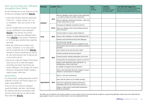#### How can you help your colleague strengthen their IGLOo?

Use the checklist here to see what you can do to help your colleague build their **IGLOo**.

- 1. Look at the checklist. Read the statements in the 'Do I...' column. Answer 'yes', 'no' or 'sometimes'. Mark your answer in the column.
- 2. Use the checklist here to test the strength of your contribution to your colleagues' **IGLOO**. If you answer yes to these questions, you help your colleague build a strong **IGLOo**. If you answer 'sometimes' or 'no' think about whether they might like your help.
- 3.What else could you do to help? If you answer 'sometimes' or 'no' what could you do to make this part of their **IGLOo** stronger? It may be something you need to do, you need someone else to help you do, or you need to ask for.
- 4.How do you make this happen? Think about what you can do to make this happen. Need help and advice? Ask friends and family, colleagues, Line manager, GP, Human Resources, Occupational Health, charities/ support groups, union reps

#### Remember...

For many people, working during the Covid-19 outbreak is not easy, but having support can make a huge difference.

If you are not sure what your colleague would find helpful, ask them. Talk through the checklist with them and identify some concrete actions that you can take to help them build their **IGLOo**.

| <b>Resources</b> | <b>Location</b> | Do 1?                                                                                                   | Do I<br>Yes, No,<br><b>Sometimes</b> | I need to<br>If you answered<br>"sometimes" or "no", what<br>else would be helpful? | I can make this happen by<br>Need help and advice? Ask friends and family,<br>Human Resources, Occupational Health,<br>colleagues, charity/support groups, union reps; |
|------------------|-----------------|---------------------------------------------------------------------------------------------------------|--------------------------------------|-------------------------------------------------------------------------------------|------------------------------------------------------------------------------------------------------------------------------------------------------------------------|
| Individual       | Work            | Help my colleagues create structure in the working day<br>e.g. divide up tasks into smaller components? |                                      |                                                                                     |                                                                                                                                                                        |
|                  |                 | Help my colleagues identify work priorities - what must<br>be done today, what can wait?                |                                      |                                                                                     |                                                                                                                                                                        |
|                  | Home            | Encourage my colleagues to prioritise self-care?                                                        |                                      |                                                                                     |                                                                                                                                                                        |
|                  |                 | Ensure my colleagues have clear boundaries between<br>work and leisure?                                 |                                      |                                                                                     |                                                                                                                                                                        |
| Group            | Work            | Provide feedback on tasks to build confidence?                                                          |                                      |                                                                                     |                                                                                                                                                                        |
|                  |                 | Help out when colleagues are doing challenging tasks?                                                   |                                      |                                                                                     |                                                                                                                                                                        |
|                  |                 | Maintain social and informal contact with colleagues?                                                   |                                      |                                                                                     |                                                                                                                                                                        |
| Leader           | Work            | See that my line manager:<br>Ensures the team has the necessary equipment to do                         |                                      |                                                                                     |                                                                                                                                                                        |
|                  |                 | Communicates work demands e.g. workload, prioritises<br>iob tasks?                                      |                                      |                                                                                     |                                                                                                                                                                        |
|                  |                 | Gives control over the way the work is done?                                                            |                                      |                                                                                     |                                                                                                                                                                        |
|                  |                 | Provides emotional and practical support?                                                               |                                      |                                                                                     |                                                                                                                                                                        |
|                  |                 | Promotes positive working relationships in the team?                                                    |                                      |                                                                                     |                                                                                                                                                                        |
|                  |                 | Communicates the organisation's response to Covid-19?                                                   |                                      |                                                                                     |                                                                                                                                                                        |
|                  |                 | Explores work adjustments where appropriate e.g.<br>working hours, review of job tasks?                 |                                      |                                                                                     |                                                                                                                                                                        |
|                  |                 | Is available to employees but not intrusive?                                                            |                                      |                                                                                     |                                                                                                                                                                        |
|                  |                 | Agrees what information about the employee's current<br>situation is communicated to colleagues?        |                                      |                                                                                     |                                                                                                                                                                        |
| Organisational   | Work            | Work in a safe work environment?                                                                        |                                      |                                                                                     |                                                                                                                                                                        |
|                  |                 | Know what the policies are for flexible working?                                                        |                                      |                                                                                     |                                                                                                                                                                        |
|                  |                 | Know if our organisation provides work-focused<br>counselling, and if so, do I know how to access it?   |                                      |                                                                                     |                                                                                                                                                                        |
|                  |                 | Support a culture where mental health and physical<br>health are prioritised?                           |                                      |                                                                                     |                                                                                                                                                                        |

*NB. While you can't influence the support employees receive outside of work, if you know that the employee is experiencing difficulties outside work, this could make the group support in work, or access to an EAP service, even more important for them.*